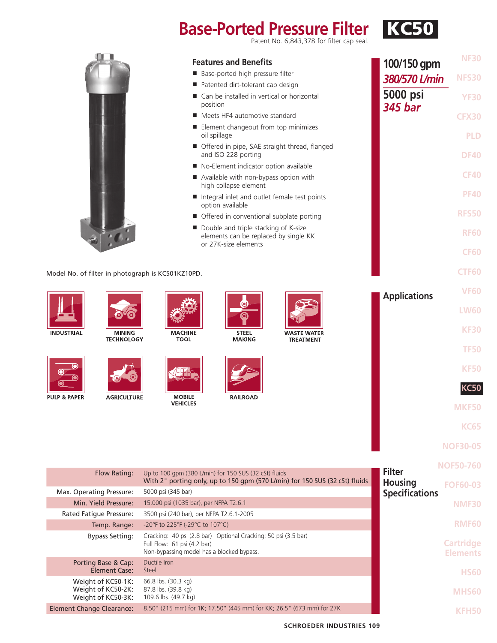# **Base-Ported Pressure Filter KG50**

**NF30**

|                                  |                                                                |                                                                    | <b>Features and Benefits</b>                                                                                                                                                                                                                                                                                                                                                                                                                                                                                                                                                                                                                                                                                                                                                                                                                                                                                                                                                                                                                                                                                                                                                                                                                                                                                          |          | 100/150 gpm   | <b>NF3U</b>  |
|----------------------------------|----------------------------------------------------------------|--------------------------------------------------------------------|-----------------------------------------------------------------------------------------------------------------------------------------------------------------------------------------------------------------------------------------------------------------------------------------------------------------------------------------------------------------------------------------------------------------------------------------------------------------------------------------------------------------------------------------------------------------------------------------------------------------------------------------------------------------------------------------------------------------------------------------------------------------------------------------------------------------------------------------------------------------------------------------------------------------------------------------------------------------------------------------------------------------------------------------------------------------------------------------------------------------------------------------------------------------------------------------------------------------------------------------------------------------------------------------------------------------------|----------|---------------|--------------|
|                                  |                                                                |                                                                    | Base-ported high pressure filter                                                                                                                                                                                                                                                                                                                                                                                                                                                                                                                                                                                                                                                                                                                                                                                                                                                                                                                                                                                                                                                                                                                                                                                                                                                                                      |          | 380/570 L/min | <b>NFS30</b> |
|                                  |                                                                |                                                                    | Patented dirt-tolerant cap design                                                                                                                                                                                                                                                                                                                                                                                                                                                                                                                                                                                                                                                                                                                                                                                                                                                                                                                                                                                                                                                                                                                                                                                                                                                                                     |          |               |              |
|                                  |                                                                |                                                                    | ■ Can be installed in vertical or horizontal<br>position                                                                                                                                                                                                                                                                                                                                                                                                                                                                                                                                                                                                                                                                                                                                                                                                                                                                                                                                                                                                                                                                                                                                                                                                                                                              | 5000 psi | <b>YF30</b>   |              |
|                                  |                                                                |                                                                    |                                                                                                                                                                                                                                                                                                                                                                                                                                                                                                                                                                                                                                                                                                                                                                                                                                                                                                                                                                                                                                                                                                                                                                                                                                                                                                                       |          |               | <b>CFX30</b> |
|                                  |                                                                |                                                                    | oil spillage                                                                                                                                                                                                                                                                                                                                                                                                                                                                                                                                                                                                                                                                                                                                                                                                                                                                                                                                                                                                                                                                                                                                                                                                                                                                                                          |          |               | <b>PLD</b>   |
|                                  |                                                                |                                                                    | and ISO 228 porting                                                                                                                                                                                                                                                                                                                                                                                                                                                                                                                                                                                                                                                                                                                                                                                                                                                                                                                                                                                                                                                                                                                                                                                                                                                                                                   |          |               | <b>DF40</b>  |
|                                  |                                                                |                                                                    |                                                                                                                                                                                                                                                                                                                                                                                                                                                                                                                                                                                                                                                                                                                                                                                                                                                                                                                                                                                                                                                                                                                                                                                                                                                                                                                       |          |               |              |
|                                  |                                                                |                                                                    | high collapse element                                                                                                                                                                                                                                                                                                                                                                                                                                                                                                                                                                                                                                                                                                                                                                                                                                                                                                                                                                                                                                                                                                                                                                                                                                                                                                 |          |               |              |
|                                  |                                                                |                                                                    | option available                                                                                                                                                                                                                                                                                                                                                                                                                                                                                                                                                                                                                                                                                                                                                                                                                                                                                                                                                                                                                                                                                                                                                                                                                                                                                                      |          |               |              |
|                                  |                                                                |                                                                    |                                                                                                                                                                                                                                                                                                                                                                                                                                                                                                                                                                                                                                                                                                                                                                                                                                                                                                                                                                                                                                                                                                                                                                                                                                                                                                                       |          |               | <b>RFS50</b> |
|                                  |                                                                |                                                                    |                                                                                                                                                                                                                                                                                                                                                                                                                                                                                                                                                                                                                                                                                                                                                                                                                                                                                                                                                                                                                                                                                                                                                                                                                                                                                                                       |          |               | <b>RF60</b>  |
|                                  |                                                                |                                                                    |                                                                                                                                                                                                                                                                                                                                                                                                                                                                                                                                                                                                                                                                                                                                                                                                                                                                                                                                                                                                                                                                                                                                                                                                                                                                                                                       |          |               | <b>CF60</b>  |
|                                  |                                                                | Model No. of filter in photograph is KC501KZ10PD.                  |                                                                                                                                                                                                                                                                                                                                                                                                                                                                                                                                                                                                                                                                                                                                                                                                                                                                                                                                                                                                                                                                                                                                                                                                                                                                                                                       |          |               | <b>CTF60</b> |
|                                  |                                                                |                                                                    |                                                                                                                                                                                                                                                                                                                                                                                                                                                                                                                                                                                                                                                                                                                                                                                                                                                                                                                                                                                                                                                                                                                                                                                                                                                                                                                       |          |               | <b>VF60</b>  |
|                                  |                                                                |                                                                    |                                                                                                                                                                                                                                                                                                                                                                                                                                                                                                                                                                                                                                                                                                                                                                                                                                                                                                                                                                                                                                                                                                                                                                                                                                                                                                                       |          |               | <b>LW60</b>  |
| <b>INDUSTRIAL</b>                | <b>MINING</b>                                                  | <b>MACHINE</b>                                                     | 345 bar<br>Meets HF4 automotive standard<br>Element changeout from top minimizes<br>Offered in pipe, SAE straight thread, flanged<br>No-Element indicator option available<br><b>CF40</b><br>Available with non-bypass option with<br><b>PF40</b><br>Integral inlet and outlet female test points<br>Offered in conventional subplate porting<br>Double and triple stacking of K-size<br>elements can be replaced by single KK<br>or 27K-size elements<br><b>Applications</b><br><b>KF30</b><br><b>STEEL</b><br><b>WASTE WATER</b><br><b>TOOL</b><br><b>MAKING</b><br><b>TREATMENT</b><br><b>TF50</b><br><b>KF50</b><br><b>KC50</b><br><b>MOBILE</b><br><b>RAILROAD</b><br><b>VEHICLES</b><br><b>MKF50</b><br><b>KC65</b><br><b>NOF30-05</b><br><b>NOF50-760</b><br><b>Filter</b><br>Up to 100 gpm (380 L/min) for 150 SUS (32 cSt) fluids<br>With 2" porting only, up to 150 gpm (570 L/min) for 150 SUS (32 cSt) fluids<br><b>Housing</b><br><b>FOF60-03</b><br><b>Specifications</b><br>15,000 psi (1035 bar), per NFPA T2.6.1<br><b>NMF30</b><br>3500 psi (240 bar), per NFPA T2.6.1-2005<br><b>RMF60</b><br>-20°F to 225°F (-29°C to 107°C)<br>Cracking: 40 psi (2.8 bar) Optional Cracking: 50 psi (3.5 bar)<br><b>Cartridge</b><br>Non-bypassing model has a blocked bypass.<br><b>Elements</b><br><b>HS60</b> |          |               |              |
|                                  | <b>TECHNOLOGY</b>                                              |                                                                    |                                                                                                                                                                                                                                                                                                                                                                                                                                                                                                                                                                                                                                                                                                                                                                                                                                                                                                                                                                                                                                                                                                                                                                                                                                                                                                                       |          |               |              |
|                                  |                                                                |                                                                    |                                                                                                                                                                                                                                                                                                                                                                                                                                                                                                                                                                                                                                                                                                                                                                                                                                                                                                                                                                                                                                                                                                                                                                                                                                                                                                                       |          |               |              |
|                                  |                                                                |                                                                    |                                                                                                                                                                                                                                                                                                                                                                                                                                                                                                                                                                                                                                                                                                                                                                                                                                                                                                                                                                                                                                                                                                                                                                                                                                                                                                                       |          |               |              |
| PULP & PAPER                     | <b>AGRICULTURE</b>                                             |                                                                    |                                                                                                                                                                                                                                                                                                                                                                                                                                                                                                                                                                                                                                                                                                                                                                                                                                                                                                                                                                                                                                                                                                                                                                                                                                                                                                                       |          |               |              |
|                                  |                                                                |                                                                    |                                                                                                                                                                                                                                                                                                                                                                                                                                                                                                                                                                                                                                                                                                                                                                                                                                                                                                                                                                                                                                                                                                                                                                                                                                                                                                                       |          |               |              |
|                                  |                                                                |                                                                    |                                                                                                                                                                                                                                                                                                                                                                                                                                                                                                                                                                                                                                                                                                                                                                                                                                                                                                                                                                                                                                                                                                                                                                                                                                                                                                                       |          |               |              |
|                                  |                                                                |                                                                    |                                                                                                                                                                                                                                                                                                                                                                                                                                                                                                                                                                                                                                                                                                                                                                                                                                                                                                                                                                                                                                                                                                                                                                                                                                                                                                                       |          |               |              |
|                                  |                                                                |                                                                    |                                                                                                                                                                                                                                                                                                                                                                                                                                                                                                                                                                                                                                                                                                                                                                                                                                                                                                                                                                                                                                                                                                                                                                                                                                                                                                                       |          |               |              |
|                                  | Flow Rating:                                                   |                                                                    |                                                                                                                                                                                                                                                                                                                                                                                                                                                                                                                                                                                                                                                                                                                                                                                                                                                                                                                                                                                                                                                                                                                                                                                                                                                                                                                       |          |               |              |
| Max. Operating Pressure:         |                                                                | 5000 psi (345 bar)                                                 |                                                                                                                                                                                                                                                                                                                                                                                                                                                                                                                                                                                                                                                                                                                                                                                                                                                                                                                                                                                                                                                                                                                                                                                                                                                                                                                       |          |               |              |
|                                  | Min. Yield Pressure:                                           |                                                                    |                                                                                                                                                                                                                                                                                                                                                                                                                                                                                                                                                                                                                                                                                                                                                                                                                                                                                                                                                                                                                                                                                                                                                                                                                                                                                                                       |          |               |              |
| Rated Fatigue Pressure:          |                                                                |                                                                    |                                                                                                                                                                                                                                                                                                                                                                                                                                                                                                                                                                                                                                                                                                                                                                                                                                                                                                                                                                                                                                                                                                                                                                                                                                                                                                                       |          |               |              |
|                                  | Temp. Range:                                                   |                                                                    |                                                                                                                                                                                                                                                                                                                                                                                                                                                                                                                                                                                                                                                                                                                                                                                                                                                                                                                                                                                                                                                                                                                                                                                                                                                                                                                       |          |               |              |
|                                  | <b>Bypass Setting:</b>                                         | Full Flow: 61 psi (4.2 bar)                                        |                                                                                                                                                                                                                                                                                                                                                                                                                                                                                                                                                                                                                                                                                                                                                                                                                                                                                                                                                                                                                                                                                                                                                                                                                                                                                                                       |          |               |              |
|                                  | Porting Base & Cap:<br><b>Element Case:</b>                    | Ductile Iron<br>Steel                                              |                                                                                                                                                                                                                                                                                                                                                                                                                                                                                                                                                                                                                                                                                                                                                                                                                                                                                                                                                                                                                                                                                                                                                                                                                                                                                                                       |          |               |              |
|                                  | Weight of KC50-1K:<br>Weight of KC50-2K:<br>Weight of KC50-3K: | 66.8 lbs. (30.3 kg)<br>87.8 lbs. (39.8 kg)<br>109.6 lbs. (49.7 kg) |                                                                                                                                                                                                                                                                                                                                                                                                                                                                                                                                                                                                                                                                                                                                                                                                                                                                                                                                                                                                                                                                                                                                                                                                                                                                                                                       |          |               | <b>MHS60</b> |
| <b>Element Change Clearance:</b> |                                                                |                                                                    | 8.50" (215 mm) for 1K; 17.50" (445 mm) for KK; 26.5" (673 mm) for 27K                                                                                                                                                                                                                                                                                                                                                                                                                                                                                                                                                                                                                                                                                                                                                                                                                                                                                                                                                                                                                                                                                                                                                                                                                                                 |          |               | <b>KFH50</b> |
|                                  |                                                                |                                                                    |                                                                                                                                                                                                                                                                                                                                                                                                                                                                                                                                                                                                                                                                                                                                                                                                                                                                                                                                                                                                                                                                                                                                                                                                                                                                                                                       |          |               |              |

#### Model No. of filter in photograph is KC501KZ10PD.















| <b>SCHROEDER INDUSTRIES 109</b> |  |
|---------------------------------|--|
|                                 |  |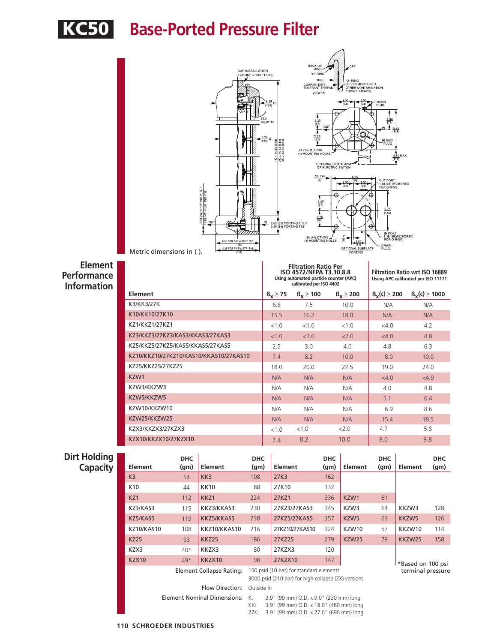



KZ3/KKZ3/27KZ3/KAS3/KKAS3/27KAS3 <1.0 <1.0 <2.0 <4.0 4.8 KZ5/KKZ5/27KZ5/KAS5/KKAS5/27KAS5 2.5 3.0 4.0 4.8 6.3 KZ10/KKZ10/27KZ10/KAS10/KKAS10/27KAS10 7.4 8.2 10.0 8.0 10.0 KZ25/KKZ25/27KZ25 19.0 18.0 20.0 22.5 19.0 24.0 KZW1 N/A N/A N/A <4.0 <4.0 KZW3/KKZW3 N/A N/A N/A 4.0 4.8 KZW5/KKZW5 N/A N/A N/A 5.1 6.4 KZW10/KKZW10 N/A N/A N/A 6.9 8.6 KZW25/KKZW25 N/A N/A N/A N/A 15.4 18.5 KZX3/KKZX3/27KZX3 <1.0 <1.0 <2.0 +4.7 5.8 KZX10/KKZX10/27KZX10 7.4 8.2 10.0 8.0 9.8

**Performance Information**

|  | <b>Dirt Holding</b> |
|--|---------------------|
|  | Capacity            |

| ling<br>city | <b>Element</b>    | <b>DHC</b><br>(qm) | <b>Element</b> | <b>DHC</b><br>(qm)                                                | <b>Element</b> | <b>DHC</b><br>(g <sub>m</sub> ) | Element          | <b>DHC</b><br>(g <sub>m</sub> )     | <b>Element</b>    | <b>DHC</b><br>(g <sub>m</sub> ) |
|--------------|-------------------|--------------------|----------------|-------------------------------------------------------------------|----------------|---------------------------------|------------------|-------------------------------------|-------------------|---------------------------------|
|              | K <sub>3</sub>    | 54                 | KK3            | 108                                                               | 27K3           | 162                             |                  |                                     |                   |                                 |
|              | K <sub>10</sub>   | 44                 | <b>KK10</b>    | 88                                                                | 27K10          | 132                             |                  |                                     |                   |                                 |
|              | KZ1               | 112                | KKZ1           | 224                                                               | 27KZ1          | 336                             | KZW1             | 61                                  |                   |                                 |
|              | KZ3/KAS3          | 115                | KKZ3/KKAS3     | 230                                                               | 27KZ3/27KAS3   | 345                             | KZW3             | 64                                  | KKZW3             | 128                             |
|              | KZ5/KAS5          | 119                | KKZ5/KKAS5     | 238                                                               | 27KZ5/27KAS5   | 357                             | KZW <sub>5</sub> | 63                                  | KKZW5             | 126                             |
|              | <b>KZ10/KAS10</b> | 108                | KKZ10/KKAS10   | 216                                                               | 27KZ10/27KAS10 | 324                             | KZW10            | 57                                  | KKZW10            | 114                             |
|              | <b>KZ25</b>       | 93                 | <b>KKZ25</b>   | 186                                                               | 27KZ25         | 279                             | KZW25            | 79                                  | KKZW25            | 158                             |
|              | KZX3              | $40*$              | KKZX3          | 80                                                                | 27KZX3         | 120                             |                  |                                     |                   |                                 |
|              | <b>KZX10</b>      | $49*$              | KKZX10         | 98                                                                | 27KZX10        | 147                             |                  |                                     | *Based on 100 psi |                                 |
|              |                   |                    |                | Flament Callange Batiner. 150 poid (10 has) for standard alamants |                |                                 |                  | المعادية والمتحال والمتحدث والمحافر |                   |                                 |

Flow Direction: Outside In

Element Collapse Rating: 150 psid (10 bar) for standard elements 3000 psid (210 bar) for high collapse (ZX) versions

**Element Nominal Dimensions:** K: 3.9" (99 mm) O.D. x 9.0" (230 mm) long<br>KK: 3.9" (99 mm) O.D. x 18.0" (460 mm) long 3.9" (99 mm) O.D. x 18.0" (460 mm) long

27K: 3.9" (99 mm) O.D. x 27.0" (690 mm) long

terminal pressure

**110 SCHROEDER INDUSTRIES**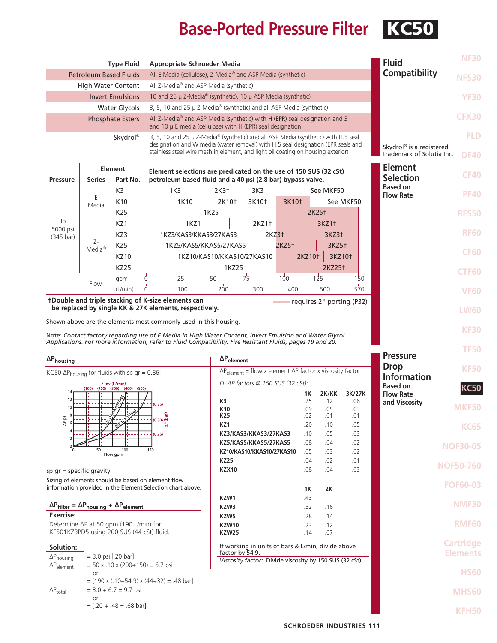## **Base-Ported Pressure Filter KC50**

|                                                                                              |                                                                                                                                                                                                                     | <b>Type Fluid</b>       | <b>Appropriate Schroeder Media</b>                                                                                                                                   |                                                            |                            |                     |                   |                                |                                     | <b>Fluid</b>                                                      | <b>NF30</b>      |                |             |
|----------------------------------------------------------------------------------------------|---------------------------------------------------------------------------------------------------------------------------------------------------------------------------------------------------------------------|-------------------------|----------------------------------------------------------------------------------------------------------------------------------------------------------------------|------------------------------------------------------------|----------------------------|---------------------|-------------------|--------------------------------|-------------------------------------|-------------------------------------------------------------------|------------------|----------------|-------------|
| All E Media (cellulose), Z-Media® and ASP Media (synthetic)<br><b>Petroleum Based Fluids</b> |                                                                                                                                                                                                                     |                         |                                                                                                                                                                      |                                                            |                            |                     |                   |                                | Compatibility                       | <b>NFS30</b>                                                      |                  |                |             |
|                                                                                              | <b>High Water Content</b>                                                                                                                                                                                           |                         | All Z-Media <sup>®</sup> and ASP Media (synthetic)                                                                                                                   |                                                            |                            |                     |                   |                                |                                     |                                                                   |                  |                |             |
|                                                                                              |                                                                                                                                                                                                                     | <b>Invert Emulsions</b> | 10 and 25 µ Z-Media® (synthetic), 10 µ ASP Media (synthetic)                                                                                                         |                                                            |                            |                     |                   |                                |                                     |                                                                   |                  | <b>YF30</b>    |             |
|                                                                                              |                                                                                                                                                                                                                     | <b>Water Glycols</b>    | 3, 5, 10 and 25 µ Z-Media <sup>®</sup> (synthetic) and all ASP Media (synthetic)                                                                                     |                                                            |                            |                     |                   |                                |                                     |                                                                   |                  |                |             |
| <b>Phosphate Esters</b>                                                                      |                                                                                                                                                                                                                     |                         | All Z-Media® and ASP Media (synthetic) with H (EPR) seal designation and 3<br>and 10 µ E media (cellulose) with H (EPR) seal designation                             |                                                            |                            |                     |                   |                                |                                     |                                                                   |                  | <b>CFX30</b>   |             |
|                                                                                              |                                                                                                                                                                                                                     | Skydrol <sup>®</sup>    | 3, 5, 10 and 25 µ Z-Media <sup>®</sup> (synthetic) and all ASP Media (synthetic) with H.5 seal                                                                       |                                                            |                            |                     |                   |                                |                                     |                                                                   |                  |                | <b>PLD</b>  |
|                                                                                              |                                                                                                                                                                                                                     |                         | designation and W media (water removal) with H.5 seal designation (EPR seals and<br>stainless steel wire mesh in element, and light oil coating on housing exterior) |                                                            |                            |                     |                   |                                |                                     | Skydrol <sup>®</sup> is a registered<br>trademark of Solutia Inc. | <b>DF40</b>      |                |             |
|                                                                                              |                                                                                                                                                                                                                     | Element                 | Element selections are predicated on the use of 150 SUS (32 cSt)                                                                                                     |                                                            |                            |                     |                   |                                |                                     |                                                                   |                  | <b>Element</b> | <b>CF40</b> |
| <b>Pressure</b>                                                                              | <b>Series</b>                                                                                                                                                                                                       | Part No.                |                                                                                                                                                                      | petroleum based fluid and a 40 psi (2.8 bar) bypass valve. |                            |                     |                   |                                | <b>Selection</b><br><b>Based on</b> |                                                                   |                  |                |             |
|                                                                                              | F<br>Media                                                                                                                                                                                                          | K <sub>3</sub>          | 1K <sub>3</sub>                                                                                                                                                      | $2K3+$                                                     |                            | 3K3                 |                   |                                | See MKF50                           |                                                                   | <b>Flow Rate</b> | <b>PF40</b>    |             |
|                                                                                              |                                                                                                                                                                                                                     | K <sub>10</sub>         | 1K10                                                                                                                                                                 | 2K10 <sup>+</sup>                                          |                            | 3K10 <sup>+</sup>   |                   | 3K10 <sup>+</sup><br>See MKF50 |                                     |                                                                   |                  |                |             |
|                                                                                              |                                                                                                                                                                                                                     | K25                     |                                                                                                                                                                      | 1K25                                                       |                            |                     | 2K25 <sup>+</sup> |                                |                                     |                                                                   |                  | <b>RFS50</b>   |             |
| To<br>5000 psi                                                                               |                                                                                                                                                                                                                     | KZ1                     | 1KZ1                                                                                                                                                                 |                                                            |                            | $2KZ1$ <sup>+</sup> |                   | 3KZ1+                          |                                     |                                                                   |                  |                |             |
| $(345 \text{ bar})$                                                                          |                                                                                                                                                                                                                     | KZ3                     | 1KZ3/KAS3/KKAS3/27KAS3                                                                                                                                               |                                                            |                            | 2KZ3                |                   |                                |                                     | 3KZ3+                                                             |                  |                | <b>RF60</b> |
|                                                                                              | $Z-$<br>Media <sup>®</sup>                                                                                                                                                                                          | KZ5                     | 1KZ5/KAS5/KKAS5/27KAS5                                                                                                                                               |                                                            | 1KZ10/KAS10/KKAS10/27KAS10 |                     | 2KZ5 <sup>+</sup> |                                |                                     | 3KZ5+                                                             |                  |                |             |
|                                                                                              |                                                                                                                                                                                                                     | <b>KZ10</b>             |                                                                                                                                                                      |                                                            |                            |                     |                   | 2KZ10 <sup>+</sup>             |                                     | 3KZ10 <sup>+</sup>                                                |                  |                | <b>CF60</b> |
|                                                                                              |                                                                                                                                                                                                                     | <b>KZ25</b>             |                                                                                                                                                                      | 1KZ25                                                      |                            |                     |                   |                                | 2KZ25+                              |                                                                   |                  | <b>CTF60</b>   |             |
|                                                                                              | qpm<br>Flow                                                                                                                                                                                                         |                         | Ó<br>25                                                                                                                                                              | $50^{\circ}$                                               | 75                         |                     | 100               |                                | 125<br>150                          |                                                                   |                  |                |             |
|                                                                                              |                                                                                                                                                                                                                     | (L/min)                 | $100 -$<br>$\Omega$                                                                                                                                                  | 200                                                        | 300                        |                     | 400               |                                |                                     | 500<br>570                                                        |                  |                | <b>VF60</b> |
| tDouble and triple stacking of K-size elements can<br>requires 2" porting (P32)              |                                                                                                                                                                                                                     |                         |                                                                                                                                                                      |                                                            |                            |                     |                   |                                |                                     |                                                                   |                  |                |             |
| be replaced by single KK & 27K elements, respectively.                                       |                                                                                                                                                                                                                     |                         |                                                                                                                                                                      |                                                            |                            |                     |                   |                                |                                     | <b>LW60</b>                                                       |                  |                |             |
| Shown above are the elements most commonly used in this housing.                             |                                                                                                                                                                                                                     |                         |                                                                                                                                                                      |                                                            |                            |                     |                   |                                |                                     |                                                                   |                  |                |             |
|                                                                                              | Note: Contact factory regarding use of E Media in High Water Content, Invert Emulsion and Water Glycol<br>Applications. For more information, refer to Fluid Compatibility: Fire Resistant Fluids, pages 19 and 20. |                         |                                                                                                                                                                      |                                                            |                            |                     |                   |                                | <b>KF30</b>                         |                                                                   |                  |                |             |

| $\Delta P_{\text{housing}}$                                                        | $\Delta P_{element}$                                                                                                     |     |       |        |  |  |  |
|------------------------------------------------------------------------------------|--------------------------------------------------------------------------------------------------------------------------|-----|-------|--------|--|--|--|
| KC50 $\Delta P_{\text{housing}}$ for fluids with sp gr = 0.86:                     | $\Delta P_{element}$ = flow x element $\Delta P$ factor x viscosity factor<br>El. $\Delta P$ factors @ 150 SUS (32 cSt): |     |       |        |  |  |  |
| Flow (L/min)                                                                       |                                                                                                                          |     |       |        |  |  |  |
| $(100)$ $(200)$ $(300)$ $(400)$ $(500)$<br>14                                      |                                                                                                                          | 1Κ  | 2K/KK | 3K/27K |  |  |  |
| 12<br>(0.75)                                                                       | K3                                                                                                                       | .25 | .12   | .08    |  |  |  |
| 10                                                                                 | K <sub>10</sub>                                                                                                          | .09 | .05   | .03    |  |  |  |
| $(0.50)$ $\frac{6}{9}$<br>AP psi                                                   | K <sub>25</sub>                                                                                                          | .02 | .01   | .01    |  |  |  |
|                                                                                    | KZ1                                                                                                                      | .20 | .10   | .05    |  |  |  |
| <b>++</b><br>(0.25)                                                                | KZ3/KAS3/KKAS3/27KAS3                                                                                                    | .10 | .05   | .03    |  |  |  |
|                                                                                    | KZ5/KAS5/KKAS5/27KAS5                                                                                                    | .08 | .04   | .02    |  |  |  |
| 50<br>100<br>150<br>$\Omega$<br>Flow gpm                                           | KZ10/KAS10/KKAS10/27KAS10                                                                                                | .05 | .03   | .02    |  |  |  |
|                                                                                    | <b>KZ25</b>                                                                                                              | .04 | .02   | .01    |  |  |  |
| sp $qr = specific gravity$                                                         | <b>KZX10</b>                                                                                                             | .08 | .04   | .03    |  |  |  |
| Sizing of elements should be based on element flow                                 |                                                                                                                          |     |       |        |  |  |  |
| information provided in the Element Selection chart above.                         |                                                                                                                          | 1K  | 2K    |        |  |  |  |
|                                                                                    | KZW1                                                                                                                     | .43 |       |        |  |  |  |
| $\Delta P_{\text{filter}} = \Delta P_{\text{housing}} + \Delta P_{\text{element}}$ | KZW3                                                                                                                     | .32 | .16   |        |  |  |  |
| Exercise:                                                                          | KZW5                                                                                                                     | .28 | .14   |        |  |  |  |
| Determine ∆P at 50 gpm (190 L/min) for                                             | KZW10                                                                                                                    | .23 | .12   |        |  |  |  |
| KF501KZ3PD5 using 200 SUS (44 cSt) fluid.                                          | <b>KZW25</b>                                                                                                             | .14 | .07   |        |  |  |  |
| Solution:                                                                          | If working in units of bars & L/min, divide above                                                                        |     |       |        |  |  |  |
| $= 3.0$ psi [.20 bar]<br>$\Delta P_{\text{housing}}$                               | factor by 54.9.                                                                                                          |     |       |        |  |  |  |
| $= 50$ x .10 x (200÷150) = 6.7 psi<br>$\Delta P_{element}$                         | Viscosity factor: Divide viscosity by 150 SUS (32 cSt).                                                                  |     |       |        |  |  |  |
| <b>or</b>                                                                          |                                                                                                                          |     |       |        |  |  |  |
| $=$ [190 x (.10÷54.9) x (44÷32) = .48 bar]                                         |                                                                                                                          |     |       |        |  |  |  |
| $=$ 3.0 + 6.7 = 9.7 psi<br>$\Delta P_{\text{total}}$                               |                                                                                                                          |     |       |        |  |  |  |
| or                                                                                 |                                                                                                                          |     |       |        |  |  |  |
| $=[.20 + .48 = .68$ bar]                                                           |                                                                                                                          |     |       |        |  |  |  |

|  |                                                                                             | <b>RFS50</b>                        |  |  |  |  |  |
|--|---------------------------------------------------------------------------------------------|-------------------------------------|--|--|--|--|--|
|  |                                                                                             | <b>RF60</b>                         |  |  |  |  |  |
|  |                                                                                             | <b>CF60</b>                         |  |  |  |  |  |
|  |                                                                                             | <b>CTF60</b>                        |  |  |  |  |  |
|  |                                                                                             | <b>VF60</b>                         |  |  |  |  |  |
|  |                                                                                             | <b>LW60</b>                         |  |  |  |  |  |
|  |                                                                                             | <b>KF30</b>                         |  |  |  |  |  |
|  | <b>Pressure</b><br><b>Drop</b><br><b>Information</b><br><b>Based on</b><br><b>Flow Rate</b> | <b>TF50</b>                         |  |  |  |  |  |
|  |                                                                                             | <b>KF50</b>                         |  |  |  |  |  |
|  |                                                                                             | <b>KC50</b>                         |  |  |  |  |  |
|  | and Viscosity                                                                               | <b>MKF50</b>                        |  |  |  |  |  |
|  |                                                                                             | <b>KC65</b>                         |  |  |  |  |  |
|  |                                                                                             | <b>NOF30-05</b>                     |  |  |  |  |  |
|  |                                                                                             | <b>NOF50-760</b>                    |  |  |  |  |  |
|  |                                                                                             | <b>FOF60-03</b>                     |  |  |  |  |  |
|  |                                                                                             | <b>NMF30</b>                        |  |  |  |  |  |
|  |                                                                                             | <b>RMF60</b>                        |  |  |  |  |  |
|  |                                                                                             | <b>Cartridge</b><br><b>Elements</b> |  |  |  |  |  |
|  |                                                                                             |                                     |  |  |  |  |  |

**HS60**

**MHS60**

**KFH50**